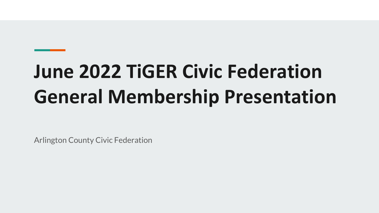# **June 2022 TiGER Civic Federation General Membership Presentation**

Arlington County Civic Federation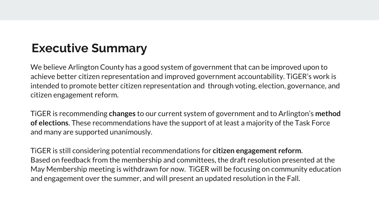## **Executive Summary**

We believe Arlington County has a good system of government that can be improved upon to achieve better citizen representation and improved government accountability. TiGER's work is intended to promote better citizen representation and through voting, election, governance, and citizen engagement reform.

TiGER is recommending **changes** to our current system of government and to Arlington's **method of elections**. These recommendations have the support of at least a majority of the Task Force and many are supported unanimously.

TiGER is still considering potential recommendations for **citizen engagement reform**. Based on feedback from the membership and committees, the draft resolution presented at the May Membership meeting is withdrawn for now. TiGER will be focusing on community education and engagement over the summer, and will present an updated resolution in the Fall.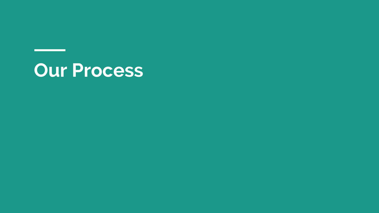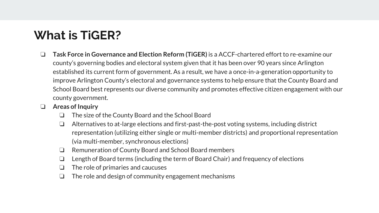#### **What is TiGER?**

- ❏ **Task Force in Governance and Election Reform (TiGER)** is a ACCF-chartered effort to re-examine our county's governing bodies and electoral system given that it has been over 90 years since Arlington established its current form of government. As a result, we have a once-in-a-generation opportunity to improve Arlington County's electoral and governance systems to help ensure that the County Board and School Board best represents our diverse community and promotes effective citizen engagement with our county government.
- ❏ **Areas of Inquiry**
	- ❏ The size of the County Board and the School Board
	- ❏ Alternatives to at-large elections and first-past-the-post voting systems, including district representation (utilizing either single or multi-member districts) and proportional representation (via multi-member, synchronous elections)
	- ❏ Remuneration of County Board and School Board members
	- ❏ Length of Board terms (including the term of Board Chair) and frequency of elections
	- ❏ The role of primaries and caucuses
	- ❏ The role and design of community engagement mechanisms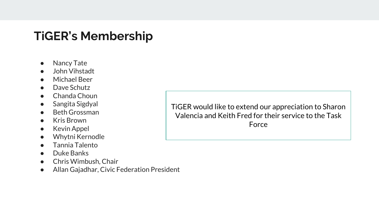## **TiGER's Membership**

- **Nancy Tate**
- John Vihstadt
- Michael Beer
- Dave Schutz
- Chanda Choun
- Sangita Sigdyal
- Beth Grossman
- Kris Brown
- **Kevin Appel**
- Whytni Kernodle
- Tannia Talento
- Duke Banks
- Chris Wimbush, Chair
- Allan Gajadhar, Civic Federation President

TiGER would like to extend our appreciation to Sharon Valencia and Keith Fred for their service to the Task Force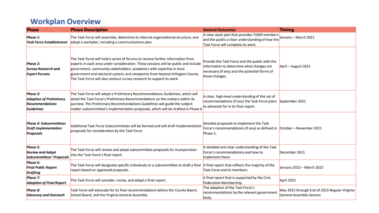#### **Workplan Overview**

| <b>Phase</b>                                                                              | <b>Phase Description</b>                                                                                                                                                                                                                                                                                                                                                                                  | <b>Desired Outcomes</b>                                                                                                                                        | <b>Timing</b>                                                                    |
|-------------------------------------------------------------------------------------------|-----------------------------------------------------------------------------------------------------------------------------------------------------------------------------------------------------------------------------------------------------------------------------------------------------------------------------------------------------------------------------------------------------------|----------------------------------------------------------------------------------------------------------------------------------------------------------------|----------------------------------------------------------------------------------|
| Phase 1:<br><b>Task Force Establishment</b>                                               | The Task Force will assemble, determine its internal organizational structure, and<br>adopt a workplan, including a communications plan.                                                                                                                                                                                                                                                                  | A clear work plan that provides TiGER members<br>and the public a clear understanding of how the<br>Task Force will complete its work.                         | January - March 2021                                                             |
| Phase 2:<br><b>Survey Research and</b><br><b>Expert Forums</b>                            | The Task Force will hold a series of forums to receive further information from<br>experts in each area under consideration. These sessions will be public and include<br>government, community stakeholders, academics with expertise in local<br>government and electoral system, and viewpoints from beyond Arlington County.<br>The Task Force will also conduct survey research to support its work. | Provide the Task Force and the public with the<br>information to determine what changes are<br>necessary (if any) and the potential forms of<br>those changes. | April - August 2021                                                              |
| Phase 3:<br><b>Adoption of Preliminary</b><br><b>Recommendations</b><br><b>Guidelines</b> | The Task Force will adopt a Preliminary Recommendations Guidelines, which will<br>detail the Task Force's Preliminary Recommendations on the matters within its<br>purview. The Preliminary Recommendations Guidelines will guide the subject<br>matter subcommittee's implementation proposals, which will be drafted in Phase 4                                                                         | A clear, high-level understanding of the set of<br>recommendations (if any) the Task Force plans<br>to advocate for in its final report.                       | September 2021                                                                   |
| <b>Phase 4: Subcommittees</b><br><b>Draft Implementation</b><br><b>Proposals</b>          | Additional Task Force Subcommittees will be formed and will draft implementation<br>proposals for consideration by the Task Force                                                                                                                                                                                                                                                                         | Detailed proposals to implement the Task<br>Force's recommendations (if any) as defined in  October - November 2021<br>Phase 3.                                |                                                                                  |
| Phase 5:<br><b>Review and Adopt</b><br><b>Subcommittees' Proposals</b>                    | The Task Force will review and adopt subcommittee proposals for incorporation<br>into the Task Force's final report.                                                                                                                                                                                                                                                                                      | A detailed and clear understanding of the Task<br>Force's recommendations and how to<br>implement them.                                                        | December 2021                                                                    |
| Phase 6:<br><b>Final Public Report</b><br><b>Drafting</b>                                 | The Task Force will designate specific individuals or a subcommittee to draft a final<br>report based on approved proposals.                                                                                                                                                                                                                                                                              | A final report that reflects the majority of the<br><b>Task Force and its members.</b>                                                                         | January 2022 - March 2022                                                        |
| Phase 7:<br><b>Adoption of Final Report</b>                                               | The Task Force will consider, revise, and adopt a final report.                                                                                                                                                                                                                                                                                                                                           | A final report that is supported by the Civic<br><b>Federation Membership.</b>                                                                                 | April 2022                                                                       |
| Phase 8:<br><b>Advocacy and Outreach</b>                                                  | Task Force will advocate for its final recommendations before the County Board,<br>School Board, and the Virginia General Assembly                                                                                                                                                                                                                                                                        | The adoption of the Task Force's<br>recommendations by the relevant government<br>body.                                                                        | May 2022 through End of 2023 Regular Virginia<br><b>General Assembly Session</b> |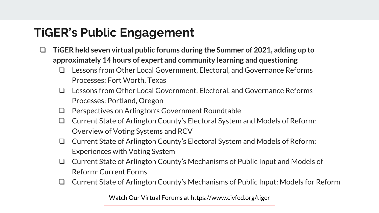## **TiGER's Public Engagement**

- ❏ **TiGER held seven virtual public forums during the Summer of 2021, adding up to approximately 14 hours of expert and community learning and questioning** 
	- ❏ Lessons from Other Local Government, Electoral, and Governance Reforms Processes: Fort Worth, Texas
	- ❏ Lessons from Other Local Government, Electoral, and Governance Reforms Processes: Portland, Oregon
	- ❏ Perspectives on Arlington's Government Roundtable
	- ❏ Current State of Arlington County's Electoral System and Models of Reform: Overview of Voting Systems and RCV
	- ❏ Current State of Arlington County's Electoral System and Models of Reform: Experiences with Voting System
	- ❏ Current State of Arlington County's Mechanisms of Public Input and Models of Reform: Current Forms
	- ❏ Current State of Arlington County's Mechanisms of Public Input: Models for Reform

Watch Our Virtual Forums at https://www.civfed.org/tiger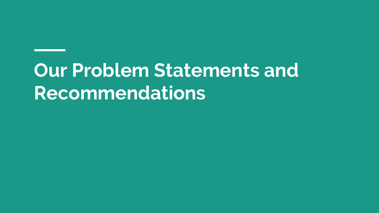## **Our Problem Statements and Recommendations**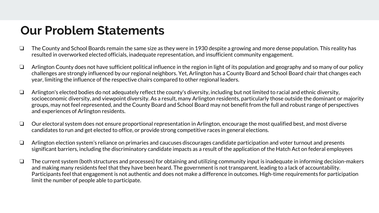#### **Our Problem Statements**

- ❏ The County and School Boards remain the same size as they were in 1930 despite a growing and more dense population. This reality has resulted in overworked elected officials, inadequate representation, and insufficient community engagement.
- ❏ Arlington County does not have sufficient political influence in the region in light of its population and geography and so many of our policy challenges are strongly influenced by our regional neighbors. Yet, Arlington has a County Board and School Board chair that changes each year, limiting the influence of the respective chairs compared to other regional leaders.
- $\Box$  Arlington's elected bodies do not adequately reflect the county's diversity, including but not limited to racial and ethnic diversity, socioeconomic diversity, and viewpoint diversity. As a result, many Arlington residents, particularly those outside the dominant or majority groups, may not feel represented, and the County Board and School Board may not benefit from the full and robust range of perspectives and experiences of Arlington residents.
- ❏ Our electoral system does not ensure proportional representation in Arlington, encourage the most qualified best, and most diverse candidates to run and get elected to office, or provide strong competitive races in general elections.
- ❏ Arlington election system's reliance on primaries and caucuses discourages candidate participation and voter turnout and presents significant barriers, including the discriminatory candidate impacts as a result of the application of the Hatch Act on federal employees
- $\Box$  The current system (both structures and processes) for obtaining and utilizing community input is inadequate in informing decision-makers and making many residents feel that they have been heard. The government is not transparent, leading to a lack of accountability. Participants feel that engagement is not authentic and does not make a difference in outcomes. High-time requirements for participation limit the number of people able to participate.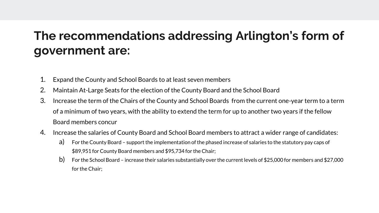## **The recommendations addressing Arlington's form of government are:**

- 1. Expand the County and School Boards to at least seven members
- 2. Maintain At-Large Seats for the election of the County Board and the School Board
- 3. Increase the term of the Chairs of the County and School Boards from the current one-year term to a term of a minimum of two years, with the ability to extend the term for up to another two years if the fellow Board members concur
- 4. Increase the salaries of County Board and School Board members to attract a wider range of candidates:
	- a) For the County Board support the implementation of the phased increase of salaries to the statutory pay caps of \$89,951 for County Board members and \$95,734 for the Chair;
	- b) For the School Board increase their salaries substantially over the current levels of \$25,000 for members and \$27,000 for the Chair;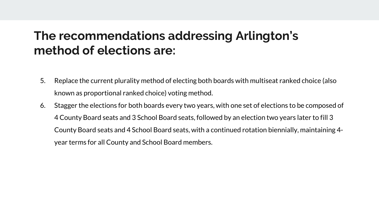## **The recommendations addressing Arlington's method of elections are:**

- 5. Replace the current plurality method of electing both boards with multiseat ranked choice (also known as proportional ranked choice) voting method.
- 6. Stagger the elections for both boards every two years, with one set of elections to be composed of 4 County Board seats and 3 School Board seats, followed by an election two years later to fill 3 County Board seats and 4 School Board seats, with a continued rotation biennially, maintaining 4 year terms for all County and School Board members.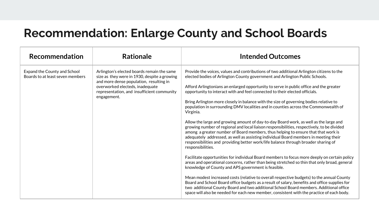#### **Recommendation: Enlarge County and School Boards**

| <b>Recommendation</b>                                            | <b>Rationale</b>                                                                                                                                                                                                                      | <b>Intended Outcomes</b>                                                                                                                                                                                                                                                                                                                                                                                                                                                                                                                                                                                                                                                                                                                                                                                                                                                                                                                                                                                                                                                                                                                                                                                                                                                                                                                                                                                                                                                                                                                                                                                                                                                 |
|------------------------------------------------------------------|---------------------------------------------------------------------------------------------------------------------------------------------------------------------------------------------------------------------------------------|--------------------------------------------------------------------------------------------------------------------------------------------------------------------------------------------------------------------------------------------------------------------------------------------------------------------------------------------------------------------------------------------------------------------------------------------------------------------------------------------------------------------------------------------------------------------------------------------------------------------------------------------------------------------------------------------------------------------------------------------------------------------------------------------------------------------------------------------------------------------------------------------------------------------------------------------------------------------------------------------------------------------------------------------------------------------------------------------------------------------------------------------------------------------------------------------------------------------------------------------------------------------------------------------------------------------------------------------------------------------------------------------------------------------------------------------------------------------------------------------------------------------------------------------------------------------------------------------------------------------------------------------------------------------------|
| Expand the County and School<br>Boards to at least seven members | Arlington's elected boards remain the same<br>size as they were in 1930, despite a growing<br>and more dense population, resulting in<br>overworked electeds, inadequate<br>representation, and insufficient community<br>engagement. | Provide the voices, values and contributions of two additional Arlington citizens to the<br>elected bodies of Arlington County government and Arlington Public Schools.<br>Afford Arlingtonians an enlarged opportunity to serve in public office and the greater<br>opportunity to interact with and feel connected to their elected officials.<br>Bring Arlington more closely in balance with the size of governing bodies relative to<br>population in surrounding DMV localities and in counties across the Commonwealth of<br>Virginia.<br>Allow the large and growing amount of day-to-day Board work, as well as the large and<br>growing number of regional and local liaison responsibilities, respectively, to be divided<br>among a greater number of Board members, thus helping to ensure that that work is<br>adequately addressed, as well as assisting individual Board members in meeting their<br>responsibilities and providing better work/life balance through broader sharing of<br>responsibilities.<br>Facilitate opportunities for individual Board members to focus more deeply on certain policy<br>areas and operational concerns, rather than being stretched so thin that only broad, general<br>knowledge of County and APS government is feasible.<br>Mean modest increased costs (relative to overall respective budgets) to the annual County<br>Board and School Board office budgets as a result of salary, benefits and office supplies for<br>two additional County Board and two additional School Board members. Additional office<br>space will also be needed for each new member, consistent with the practice of each body. |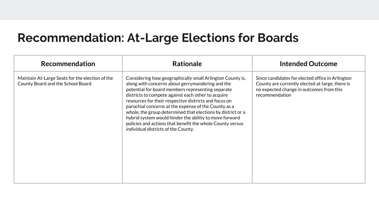## **Recommendation: At-Large Elections for Boards**

| Recommendation                                                                       | <b>Rationale</b>                                                                                                                                                                                                                                                                                                                                                                                                                                                                                                                                                       | <b>Intended Outcome</b>                                                                                                                                           |
|--------------------------------------------------------------------------------------|------------------------------------------------------------------------------------------------------------------------------------------------------------------------------------------------------------------------------------------------------------------------------------------------------------------------------------------------------------------------------------------------------------------------------------------------------------------------------------------------------------------------------------------------------------------------|-------------------------------------------------------------------------------------------------------------------------------------------------------------------|
| Maintain At-Large Seats for the election of the<br>County Board and the School Board | Considering how geographically small Arlington County is,<br>along with concerns about gerrymandering and the<br>potential for board members representing separate<br>districts to compete against each other to acquire<br>resources for their respective districts and focus on<br>parochial concerns at the expense of the County as a<br>whole, the group determined that elections by district or a<br>hybrid system would hinder the ability to move forward<br>policies and actions that benefit the whole County versus<br>individual districts of the County. | Since candidates for elected office in Arlington<br>County are currently elected at-large, there is<br>no expected change in outcomes from this<br>recommendation |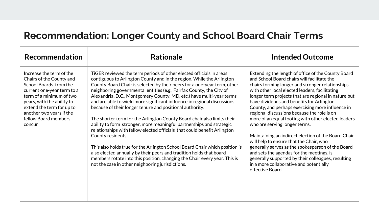#### **Recommendation: Longer County and School Board Chair Terms**

| Recommendation                                                                                                                                                                                                                                                    | <b>Rationale</b>                                                                                                                                                                                                                                                                                                                                                                                                                                                                                                                                                                                                                                                                                                                                                                                                                                                                                                                                                                                                                                            | <b>Intended Outcome</b>                                                                                                                                                                                                                                                                                                                                                                                                                                                                                                                                                                                                                                                                                                                                                                                                          |
|-------------------------------------------------------------------------------------------------------------------------------------------------------------------------------------------------------------------------------------------------------------------|-------------------------------------------------------------------------------------------------------------------------------------------------------------------------------------------------------------------------------------------------------------------------------------------------------------------------------------------------------------------------------------------------------------------------------------------------------------------------------------------------------------------------------------------------------------------------------------------------------------------------------------------------------------------------------------------------------------------------------------------------------------------------------------------------------------------------------------------------------------------------------------------------------------------------------------------------------------------------------------------------------------------------------------------------------------|----------------------------------------------------------------------------------------------------------------------------------------------------------------------------------------------------------------------------------------------------------------------------------------------------------------------------------------------------------------------------------------------------------------------------------------------------------------------------------------------------------------------------------------------------------------------------------------------------------------------------------------------------------------------------------------------------------------------------------------------------------------------------------------------------------------------------------|
| Increase the term of the<br>Chairs of the County and<br>School Boards from the<br>current one-year term to a<br>term of a minimum of two<br>years, with the ability to<br>extend the term for up to<br>another two years if the<br>fellow Board members<br>concur | TIGER reviewed the term periods of other elected officials in areas<br>contiguous to Arlington County and in the region. While the Arlington<br>County Board Chair is selected by their peers for a one-year term, other<br>neighboring governmental entities (e.g., Fairfax County, the City of<br>Alexandria, D.C., Montgomery County, MD, etc.) have multi-year terms<br>and are able to wield more significant influence in regional discussions<br>because of their longer tenure and positional authority.<br>The shorter term for the Arlington County Board chair also limits their<br>ability to form stronger, more meaningful partnerships and strategic<br>relationships with fellow elected officials that could benefit Arlington<br>County residents.<br>This also holds true for the Arlington School Board Chair which position is<br>also elected annually by their peers and tradition holds that board<br>members rotate into this position, changing the Chair every year. This is<br>not the case in other neighboring jurisdictions. | Extending the length of office of the County Board<br>and School Board chairs will facilitate the<br>chairs forming longer and stronger relationships<br>with other local elected leaders, facilitating<br>longer term projects that are regional in nature but<br>have dividends and benefits for Arlington<br>County, and perhaps exercising more influence in<br>regional discussions because the role is on<br>more of an equal footing with other elected leaders<br>who are serving longer terms.<br>Maintaining an indirect election of the Board Chair<br>will help to ensure that the Chair, who<br>generally serves as the spokesperson of the Board<br>and sets the agendas for the meetings, is<br>generally supported by their colleagues, resulting<br>in a more collaborative and potentially<br>effective Board. |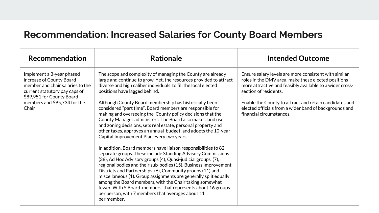#### **Recommendation: Increased Salaries for County Board Members**

| <b>Recommendation</b>                                                                                                                                                                            | <b>Rationale</b>                                                                                                                                                                                                                                                                                                                                                                                                                                                                                                                                                                                                                                                                                                                                                                                                                                                                                                                                                                                                                                                                                                                                                                                                                                                            | <b>Intended Outcome</b>                                                                                                                                                                                                                                                                                                                           |
|--------------------------------------------------------------------------------------------------------------------------------------------------------------------------------------------------|-----------------------------------------------------------------------------------------------------------------------------------------------------------------------------------------------------------------------------------------------------------------------------------------------------------------------------------------------------------------------------------------------------------------------------------------------------------------------------------------------------------------------------------------------------------------------------------------------------------------------------------------------------------------------------------------------------------------------------------------------------------------------------------------------------------------------------------------------------------------------------------------------------------------------------------------------------------------------------------------------------------------------------------------------------------------------------------------------------------------------------------------------------------------------------------------------------------------------------------------------------------------------------|---------------------------------------------------------------------------------------------------------------------------------------------------------------------------------------------------------------------------------------------------------------------------------------------------------------------------------------------------|
| Implement a 3-year phased<br>increase of County Board<br>member and chair salaries to the<br>current statutory pay caps of<br>\$89,951 for County Board<br>members and \$95,734 for the<br>Chair | The scope and complexity of managing the County are already<br>large and continue to grow. Yet, the resources provided to attract<br>diverse and high caliber individuals to fill the local elected<br>positions have lagged behind.<br>Although County Board membership has historically been<br>considered "part time", Board members are responsible for<br>making and overseeing the County policy decisions that the<br>County Manager administers. The Board also makes land use<br>and zoning decisions, sets real estate, personal property and<br>other taxes, approves an annual budget, and adopts the 10-year<br>Capital Improvement Plan every two years.<br>In addition, Board members have liaison responsibilities to 82<br>separate groups. These include Standing Advisory Commissions<br>(38), Ad Hoc Advisory groups (4), Quasi-judicial groups (7),<br>regional bodies and their sub-bodies (15), Business Improvement<br>Districts and Partnerships (6), Community groups (11) and<br>miscellaneous (1). Group assignments are generally split equally<br>among the Board members, with the Chair taking somewhat<br>fewer. With 5 Board members, that represents about 16 groups<br>per person; with 7 members that averages about 11<br>per member. | Ensure salary levels are more consistent with similar<br>roles in the DMV area, make these elected positions<br>more attractive and feasibly available to a wider cross-<br>section of residents.<br>Enable the County to attract and retain candidates and<br>elected officials from a wider band of backgrounds and<br>financial circumstances. |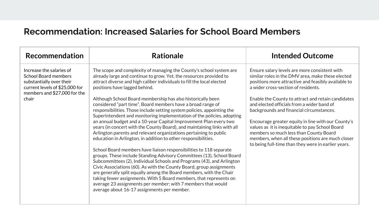#### **Recommendation: Increased Salaries for School Board Members**

| Recommendation                                                                                                                                                 | <b>Rationale</b>                                                                                                                                                                                                                                                                                                                                                                                                                                                                                                                                                                                                                                                                                                                                                                                                                                                                                                                                                                                                                                                                                                                                                                                                                                                                                                                                                                             | <b>Intended Outcome</b>                                                                                                                                                                                                                                                                                                                                                                                                                                                                                                                                                                                         |
|----------------------------------------------------------------------------------------------------------------------------------------------------------------|----------------------------------------------------------------------------------------------------------------------------------------------------------------------------------------------------------------------------------------------------------------------------------------------------------------------------------------------------------------------------------------------------------------------------------------------------------------------------------------------------------------------------------------------------------------------------------------------------------------------------------------------------------------------------------------------------------------------------------------------------------------------------------------------------------------------------------------------------------------------------------------------------------------------------------------------------------------------------------------------------------------------------------------------------------------------------------------------------------------------------------------------------------------------------------------------------------------------------------------------------------------------------------------------------------------------------------------------------------------------------------------------|-----------------------------------------------------------------------------------------------------------------------------------------------------------------------------------------------------------------------------------------------------------------------------------------------------------------------------------------------------------------------------------------------------------------------------------------------------------------------------------------------------------------------------------------------------------------------------------------------------------------|
| Increase the salaries of<br><b>School Board members</b><br>substantially over their<br>current levels of \$25,000 for<br>members and \$27,000 for the<br>chair | The scope and complexity of managing the County's school system are<br>already large and continue to grow. Yet, the resources provided to<br>attract diverse and high caliber individuals to fill the local elected<br>positions have lagged behind.<br>Although School Board membership has also historically been<br>considered "part time", Board members have a broad range of<br>responsibilities. Those include setting system policies, appointing the<br>Superintendent and monitoring implementation of the policies, adopting<br>an annual budget and a 10-year Capital Improvement Plan every two<br>years (in concert with the County Board), and maintaining links with all<br>Arlington parents and relevant organizations pertaining to public<br>education in Arlington, in addition to other responsibilities.<br>School Board members have liaison responsibilities to 118 separate<br>groups. These include Standing Advisory Committees (13), School Board<br>Subcommittees (2), Individual Schools and Programs (43), and Arlington<br>Civic Associations (60). As with the County Board, group assignments<br>are generally split equally among the Board members, with the Chair<br>taking fewer assignments. With 5 Board members, that represents on<br>average 23 assignments per member; with 7 members that would<br>average about 16-17 assignments per member. | Ensure salary levels are more consistent with<br>similar roles in the DMV area, make these elected<br>positions more attractive and feasibly available to<br>a wider cross-section of residents.<br>Enable the County to attract and retain candidates<br>and elected officials from a wider band of<br>backgrounds and financial circumstances.<br>Encourage greater equity in line with our County's<br>values as it is inequitable to pay School Board<br>members so much less than County Board<br>members, when all these positions are much closer<br>to being full-time than they were in earlier years. |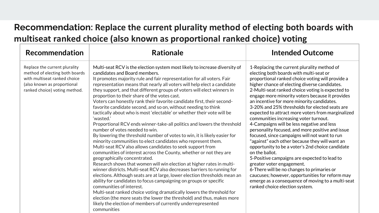#### **Recommendation: Replace the current plurality method of electing both boards with multiseat ranked choice (also known as proportional ranked choice) voting**

| Recommendation                                                                                                                                                  | <b>Rationale</b>                                                                                                                                                                                                                                                                                                                                                                                                                                                                                                                                                                                                                                                                                                                                                                                                                                                                                                                                                                                                                                                                                                                                                                                                                                                                                                                                                                                                                                                                                                                                                                                                                 | <b>Intended Outcome</b>                                                                                                                                                                                                                                                                                                                                                                                                                                                                                                                                                                                                                                                                                                                                                                                                                                                                                                                                                                                                                          |
|-----------------------------------------------------------------------------------------------------------------------------------------------------------------|----------------------------------------------------------------------------------------------------------------------------------------------------------------------------------------------------------------------------------------------------------------------------------------------------------------------------------------------------------------------------------------------------------------------------------------------------------------------------------------------------------------------------------------------------------------------------------------------------------------------------------------------------------------------------------------------------------------------------------------------------------------------------------------------------------------------------------------------------------------------------------------------------------------------------------------------------------------------------------------------------------------------------------------------------------------------------------------------------------------------------------------------------------------------------------------------------------------------------------------------------------------------------------------------------------------------------------------------------------------------------------------------------------------------------------------------------------------------------------------------------------------------------------------------------------------------------------------------------------------------------------|--------------------------------------------------------------------------------------------------------------------------------------------------------------------------------------------------------------------------------------------------------------------------------------------------------------------------------------------------------------------------------------------------------------------------------------------------------------------------------------------------------------------------------------------------------------------------------------------------------------------------------------------------------------------------------------------------------------------------------------------------------------------------------------------------------------------------------------------------------------------------------------------------------------------------------------------------------------------------------------------------------------------------------------------------|
| Replace the current plurality<br>method of electing both boards<br>with multiseat ranked choice<br>(also known as proportional<br>ranked choice) voting method. | Multi-seat RCV is the election system most likely to increase diversity of<br>candidates and Board members.<br>It promotes majority rule and fair representation for all voters. Fair<br>representation means that nearly all voters will help elect a candidate<br>they support, and that different groups of voters will elect winners in<br>proportion to their share of the votes cast.<br>Voters can honestly rank their favorite candidate first, their second-<br>favorite candidate second, and so on, without needing to think<br>tactically about who is most 'electable' or whether their vote will be<br>'wasted.'<br>Proportional RCV ends winner-take-all politics and lowers the threshold<br>number of votes needed to win.<br>By lowering the threshold number of votes to win, it is likely easier for<br>minority communities to elect candidates who represent them.<br>Multi-seat RCV also allows candidates to seek support from<br>communities of interest across the County, whether or not they are<br>geographically concentrated.<br>Research shows that women will win election at higher rates in multi-<br>winner districts. Multi-seat RCV also decreases barriers to running for<br>elections. Although seats are at large, lower election thresholds mean an<br>ability for candidates to focus campaigning on groups or specific<br>communities of interest.<br>Multi-seat ranked choice voting dramatically lowers the threshold for<br>election (the more seats the lower the threshold) and thus, makes more<br>likely the election of members of currently underrepresented<br>communities | 1-Replacing the current plurality method of<br>electing both boards with multi-seat or<br>proportional ranked choice voting will provide a<br>higher chance of electing diverse candidates.<br>2-Multi-seat ranked choice voting is expected to<br>engage more minority voters because it provides<br>an incentive for more minority candidates.<br>3-20% and 25% thresholds for elected seats are<br>expected to attract more voters from marginalized<br>communities increasing voter turnout.<br>4-Campaigns will be less negative and less<br>personality focused, and more positive and issue<br>focused, since campaigns will not want to run<br>"against" each other because they will want an<br>opportunity to be a voter's 2nd choice candidate<br>on the ballot.<br>5-Positive campaigns are expected to lead to<br>greater voter engagement.<br>6-There will be no changes to primaries or<br>caucuses; however, opportunities for reform may<br>emerge as a consequence of moving to a multi-seat<br>ranked choice election system. |